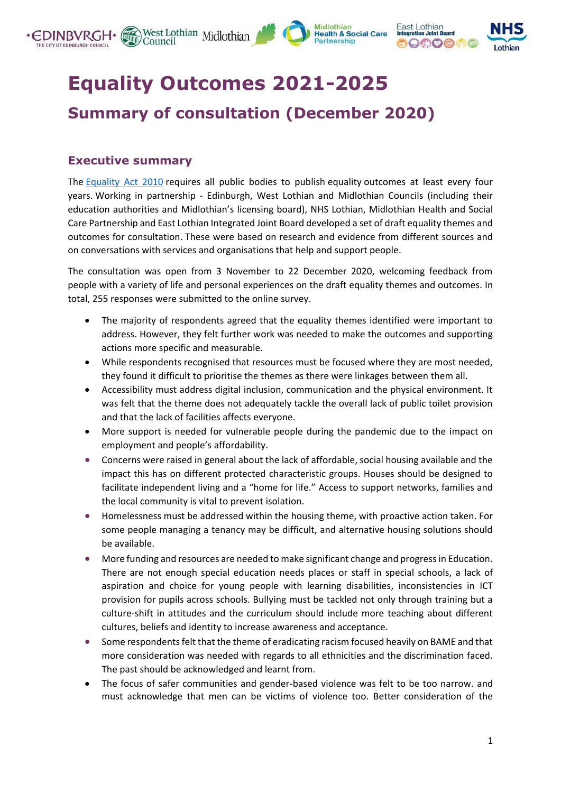



# **Equality Outcomes 2021-2025 Summary of consultation (December 2020)**

## **Executive summary**

The [Equality Act 2010](https://www.legislation.gov.uk/ukpga/2010/15/contents) requires all public bodies to publish equality outcomes at least every four years. Working in partnership - Edinburgh, West Lothian and Midlothian Councils (including their education authorities and Midlothian's licensing board), NHS Lothian, Midlothian Health and Social Care Partnership and East Lothian Integrated Joint Board developed a set of draft equality themes and outcomes for consultation. These were based on research and evidence from different sources and on conversations with services and organisations that help and support people.

The consultation was open from 3 November to 22 December 2020, welcoming feedback from people with a variety of life and personal experiences on the draft equality themes and outcomes. In total, 255 responses were submitted to the online survey.

- The majority of respondents agreed that the equality themes identified were important to address. However, they felt further work was needed to make the outcomes and supporting actions more specific and measurable.
- While respondents recognised that resources must be focused where they are most needed, they found it difficult to prioritise the themes as there were linkages between them all.
- Accessibility must address digital inclusion, communication and the physical environment. It was felt that the theme does not adequately tackle the overall lack of public toilet provision and that the lack of facilities affects everyone.
- More support is needed for vulnerable people during the pandemic due to the impact on employment and people's affordability.
- Concerns were raised in general about the lack of affordable, social housing available and the impact this has on different protected characteristic groups. Houses should be designed to facilitate independent living and a "home for life." Access to support networks, families and the local community is vital to prevent isolation.
- Homelessness must be addressed within the housing theme, with proactive action taken. For some people managing a tenancy may be difficult, and alternative housing solutions should be available.
- More funding and resources are needed to make significant change and progress in Education. There are not enough special education needs places or staff in special schools, a lack of aspiration and choice for young people with learning disabilities, inconsistencies in ICT provision for pupils across schools. Bullying must be tackled not only through training but a culture-shift in attitudes and the curriculum should include more teaching about different cultures, beliefs and identity to increase awareness and acceptance.
- Some respondents felt that the theme of eradicating racism focused heavily on BAME and that more consideration was needed with regards to all ethnicities and the discrimination faced. The past should be acknowledged and learnt from.
- The focus of safer communities and gender-based violence was felt to be too narrow. and must acknowledge that men can be victims of violence too. Better consideration of the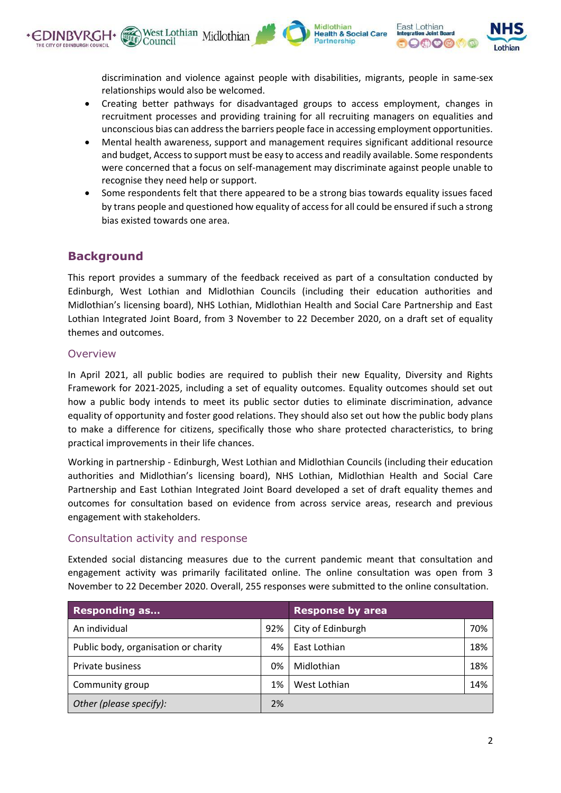discrimination and violence against people with disabilities, migrants, people in same-sex relationships would also be welcomed.

Midlothian **Health & Social Care** artnershin

East Lothian

 $Q \oplus \mathcal{O} \oplus \mathcal{O}$ 

• Creating better pathways for disadvantaged groups to access employment, changes in recruitment processes and providing training for all recruiting managers on equalities and unconscious bias can address the barriers people face in accessing employment opportunities.

West Lothian Midlothian

- Mental health awareness, support and management requires significant additional resource and budget, Access to support must be easy to access and readily available. Some respondents were concerned that a focus on self-management may discriminate against people unable to recognise they need help or support.
- Some respondents felt that there appeared to be a strong bias towards equality issues faced by trans people and questioned how equality of access for all could be ensured if such a strong bias existed towards one area.

## **Background**

This report provides a summary of the feedback received as part of a consultation conducted by Edinburgh, West Lothian and Midlothian Councils (including their education authorities and Midlothian's licensing board), NHS Lothian, Midlothian Health and Social Care Partnership and East Lothian Integrated Joint Board, from 3 November to 22 December 2020, on a draft set of equality themes and outcomes.

#### Overview

In April 2021, all public bodies are required to publish their new Equality, Diversity and Rights Framework for 2021-2025, including a set of equality outcomes. Equality outcomes should set out how a public body intends to meet its public sector duties to eliminate discrimination, advance equality of opportunity and foster good relations. They should also set out how the public body plans to make a difference for citizens, specifically those who share protected characteristics, to bring practical improvements in their life chances.

Working in partnership - Edinburgh, West Lothian and Midlothian Councils (including their education authorities and Midlothian's licensing board), NHS Lothian, Midlothian Health and Social Care Partnership and East Lothian Integrated Joint Board developed a set of draft equality themes and outcomes for consultation based on evidence from across service areas, research and previous engagement with stakeholders.

#### Consultation activity and response

Extended social distancing measures due to the current pandemic meant that consultation and engagement activity was primarily facilitated online. The online consultation was open from 3 November to 22 December 2020. Overall, 255 responses were submitted to the online consultation.

| <b>Responding as</b>                 |     | <b>Response by area</b> |     |
|--------------------------------------|-----|-------------------------|-----|
| An individual                        | 92% | City of Edinburgh       | 70% |
| Public body, organisation or charity | 4%  | East Lothian            | 18% |
| Private business                     | 0%  | Midlothian              | 18% |
| Community group                      | 1%  | West Lothian            | 14% |
| Other (please specify):              | 2%  |                         |     |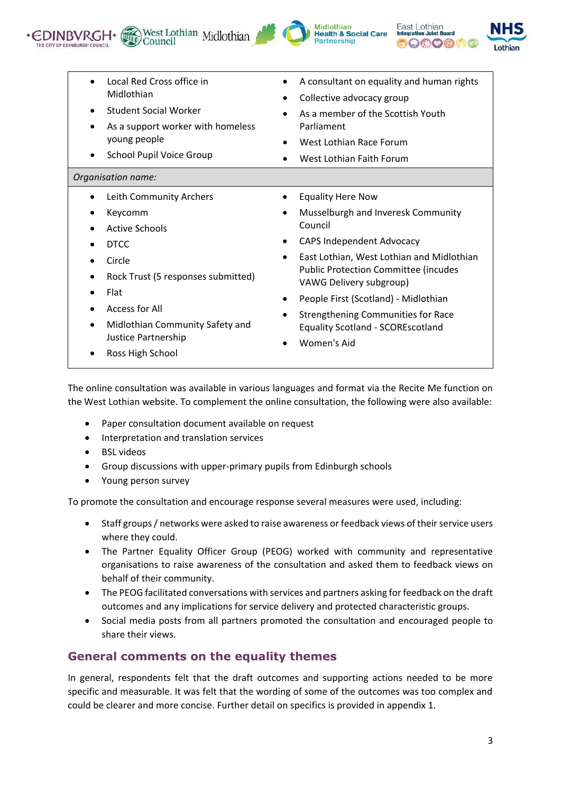





| Local Red Cross office in          | A consultant on equality and human rights   |
|------------------------------------|---------------------------------------------|
| Midlothian                         | Collective advocacy group                   |
| <b>Student Social Worker</b>       | $\bullet$                                   |
| As a support worker with homeless  | As a member of the Scottish Youth           |
| young people                       | Parliament                                  |
| School Pupil Voice Group           | West Lothian Race Forum                     |
| $\bullet$                          | West Lothian Faith Forum                    |
| Organisation name:                 |                                             |
| Leith Community Archers            | <b>Equality Here Now</b>                    |
| ٠                                  | Musselburgh and Inveresk Community          |
| Keycomm                            | Council                                     |
| <b>Active Schools</b>              | <b>CAPS Independent Advocacy</b>            |
| <b>DTCC</b>                        | ٠                                           |
| Circle                             | East Lothian, West Lothian and Midlothian   |
| Rock Trust (5 responses submitted) | $\bullet$                                   |
| Flat                               | <b>Public Protection Committee (incudes</b> |
| Access for All                     | VAWG Delivery subgroup)                     |
| Midlothian Community Safety and    | People First (Scotland) - Midlothian        |
| ٠                                  | <b>Strengthening Communities for Race</b>   |
| Justice Partnership                | <b>Equality Scotland - SCOREscotland</b>    |
| Ross High School                   | Women's Aid                                 |

The online consultation was available in various languages and format via the Recite Me function on the West Lothian website. To complement the online consultation, the following were also available:

- Paper consultation document available on request
- Interpretation and translation services
- BSL videos
- Group discussions with upper-primary pupils from Edinburgh schools
- Young person survey

To promote the consultation and encourage response several measures were used, including:

- Staff groups / networks were asked to raise awareness or feedback views of their service users where they could.
- The Partner Equality Officer Group (PEOG) worked with community and representative organisations to raise awareness of the consultation and asked them to feedback views on behalf of their community.
- The PEOG facilitated conversations with services and partners asking for feedback on the draft outcomes and any implications for service delivery and protected characteristic groups.
- Social media posts from all partners promoted the consultation and encouraged people to share their views.

## **General comments on the equality themes**

In general, respondents felt that the draft outcomes and supporting actions needed to be more specific and measurable. It was felt that the wording of some of the outcomes was too complex and could be clearer and more concise. Further detail on specifics is provided in appendix 1.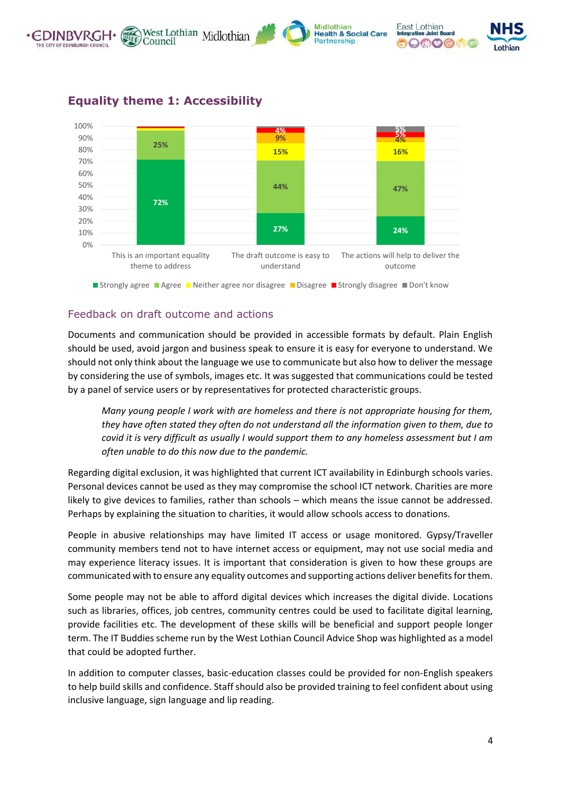



# **Equality theme 1: Accessibility**

#### Feedback on draft outcome and actions

Documents and communication should be provided in accessible formats by default. Plain English should be used, avoid jargon and business speak to ensure it is easy for everyone to understand. We should not only think about the language we use to communicate but also how to deliver the message by considering the use of symbols, images etc. It was suggested that communications could be tested by a panel of service users or by representatives for protected characteristic groups.

*Many young people I work with are homeless and there is not appropriate housing for them, they have often stated they often do not understand all the information given to them, due to covid it is very difficult as usually I would support them to any homeless assessment but I am often unable to do this now due to the pandemic.*

Regarding digital exclusion, it was highlighted that current ICT availability in Edinburgh schools varies. Personal devices cannot be used as they may compromise the school ICT network. Charities are more likely to give devices to families, rather than schools – which means the issue cannot be addressed. Perhaps by explaining the situation to charities, it would allow schools access to donations.

People in abusive relationships may have limited IT access or usage monitored. Gypsy/Traveller community members tend not to have internet access or equipment, may not use social media and may experience literacy issues. It is important that consideration is given to how these groups are communicated with to ensure any equality outcomes and supporting actions deliver benefits for them.

Some people may not be able to afford digital devices which increases the digital divide. Locations such as libraries, offices, job centres, community centres could be used to facilitate digital learning, provide facilities etc. The development of these skills will be beneficial and support people longer term. The IT Buddies scheme run by the West Lothian Council Advice Shop was highlighted as a model that could be adopted further.

In addition to computer classes, basic-education classes could be provided for non-English speakers to help build skills and confidence. Staff should also be provided training to feel confident about using inclusive language, sign language and lip reading.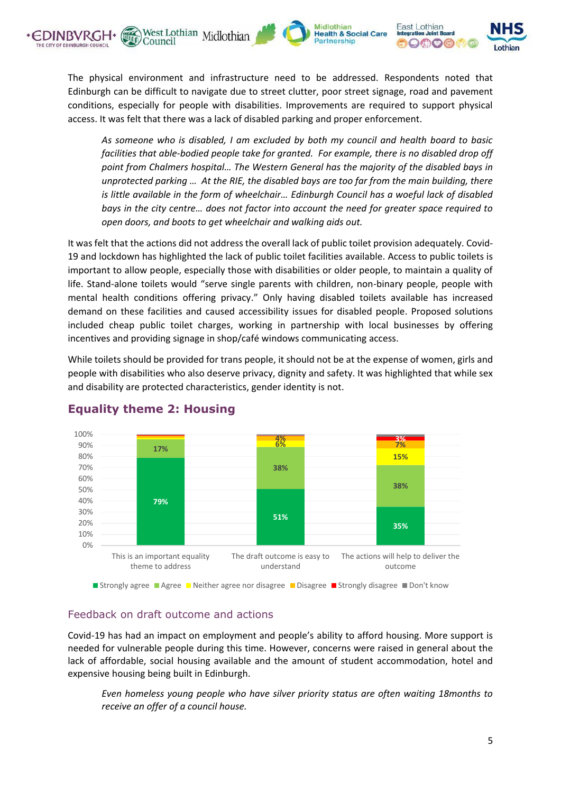





The physical environment and infrastructure need to be addressed. Respondents noted that Edinburgh can be difficult to navigate due to street clutter, poor street signage, road and pavement conditions, especially for people with disabilities. Improvements are required to support physical access. It was felt that there was a lack of disabled parking and proper enforcement.

*As someone who is disabled, I am excluded by both my council and health board to basic facilities that able-bodied people take for granted. For example, there is no disabled drop off point from Chalmers hospital… The Western General has the majority of the disabled bays in unprotected parking … At the RIE, the disabled bays are too far from the main building, there is little available in the form of wheelchair… Edinburgh Council has a woeful lack of disabled bays in the city centre… does not factor into account the need for greater space required to open doors, and boots to get wheelchair and walking aids out.* 

It was felt that the actions did not address the overall lack of public toilet provision adequately. Covid-19 and lockdown has highlighted the lack of public toilet facilities available. Access to public toilets is important to allow people, especially those with disabilities or older people, to maintain a quality of life. Stand-alone toilets would "serve single parents with children, non-binary people, people with mental health conditions offering privacy." Only having disabled toilets available has increased demand on these facilities and caused accessibility issues for disabled people. Proposed solutions included cheap public toilet charges, working in partnership with local businesses by offering incentives and providing signage in shop/café windows communicating access.

While toilets should be provided for trans people, it should not be at the expense of women, girls and people with disabilities who also deserve privacy, dignity and safety. It was highlighted that while sex and disability are protected characteristics, gender identity is not.



## **Equality theme 2: Housing**

#### Feedback on draft outcome and actions

Covid-19 has had an impact on employment and people's ability to afford housing. More support is needed for vulnerable people during this time. However, concerns were raised in general about the lack of affordable, social housing available and the amount of student accommodation, hotel and expensive housing being built in Edinburgh.

*Even homeless young people who have silver priority status are often waiting 18months to receive an offer of a council house.*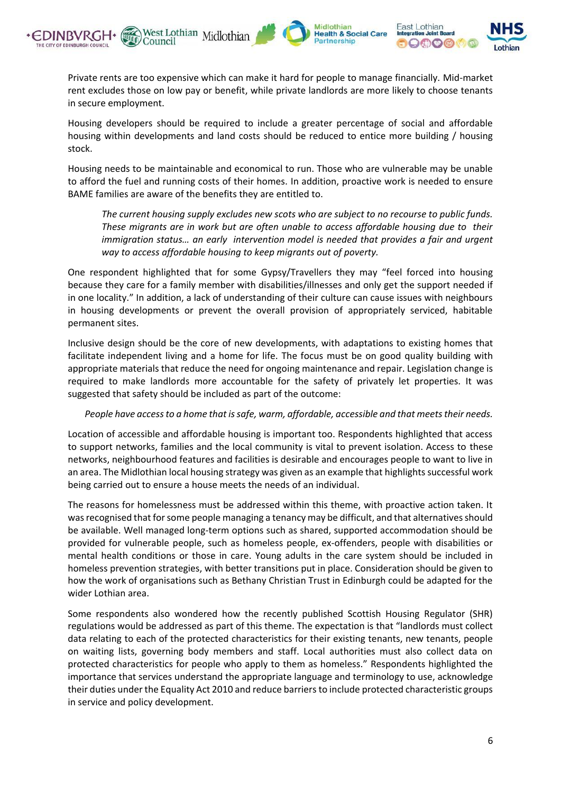



Private rents are too expensive which can make it hard for people to manage financially. Mid-market rent excludes those on low pay or benefit, while private landlords are more likely to choose tenants in secure employment.

Housing developers should be required to include a greater percentage of social and affordable housing within developments and land costs should be reduced to entice more building / housing stock.

Housing needs to be maintainable and economical to run. Those who are vulnerable may be unable to afford the fuel and running costs of their homes. In addition, proactive work is needed to ensure BAME families are aware of the benefits they are entitled to.

*The current housing supply excludes new scots who are subject to no recourse to public funds. These migrants are in work but are often unable to access affordable housing due to their immigration status… an early intervention model is needed that provides a fair and urgent way to access affordable housing to keep migrants out of poverty.*

One respondent highlighted that for some Gypsy/Travellers they may "feel forced into housing because they care for a family member with disabilities/illnesses and only get the support needed if in one locality." In addition, a lack of understanding of their culture can cause issues with neighbours in housing developments or prevent the overall provision of appropriately serviced, habitable permanent sites.

Inclusive design should be the core of new developments, with adaptations to existing homes that facilitate independent living and a home for life. The focus must be on good quality building with appropriate materials that reduce the need for ongoing maintenance and repair. Legislation change is required to make landlords more accountable for the safety of privately let properties. It was suggested that safety should be included as part of the outcome:

#### *People have access to a home that is safe, warm, affordable, accessible and that meets their needs.*

Location of accessible and affordable housing is important too. Respondents highlighted that access to support networks, families and the local community is vital to prevent isolation. Access to these networks, neighbourhood features and facilities is desirable and encourages people to want to live in an area. The Midlothian local housing strategy was given as an example that highlights successful work being carried out to ensure a house meets the needs of an individual.

The reasons for homelessness must be addressed within this theme, with proactive action taken. It was recognised that for some people managing a tenancy may be difficult, and that alternatives should be available. Well managed long-term options such as shared, supported accommodation should be provided for vulnerable people, such as homeless people, ex-offenders, people with disabilities or mental health conditions or those in care. Young adults in the care system should be included in homeless prevention strategies, with better transitions put in place. Consideration should be given to how the work of organisations such as Bethany Christian Trust in Edinburgh could be adapted for the wider Lothian area.

Some respondents also wondered how the recently published Scottish Housing Regulator (SHR) regulations would be addressed as part of this theme. The expectation is that "landlords must collect data relating to each of the protected characteristics for their existing tenants, new tenants, people on waiting lists, governing body members and staff. Local authorities must also collect data on protected characteristics for people who apply to them as homeless." Respondents highlighted the importance that services understand the appropriate language and terminology to use, acknowledge their duties under the Equality Act 2010 and reduce barriers to include protected characteristic groups in service and policy development.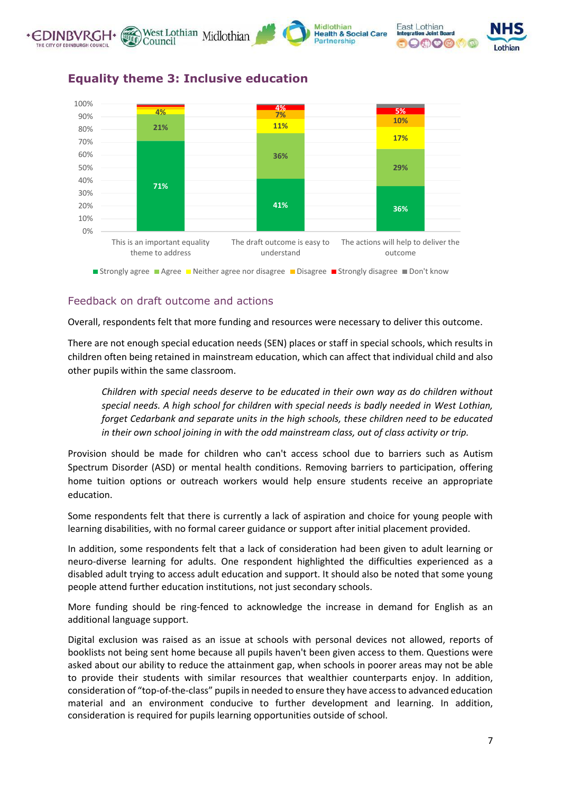



## **Equality theme 3: Inclusive education**

#### Feedback on draft outcome and actions

Overall, respondents felt that more funding and resources were necessary to deliver this outcome.

There are not enough special education needs (SEN) places or staff in special schools, which results in children often being retained in mainstream education, which can affect that individual child and also other pupils within the same classroom.

*Children with special needs deserve to be educated in their own way as do children without special needs. A high school for children with special needs is badly needed in West Lothian, forget Cedarbank and separate units in the high schools, these children need to be educated in their own school joining in with the odd mainstream class, out of class activity or trip.*

Provision should be made for children who can't access school due to barriers such as Autism Spectrum Disorder (ASD) or mental health conditions. Removing barriers to participation, offering home tuition options or outreach workers would help ensure students receive an appropriate education.

Some respondents felt that there is currently a lack of aspiration and choice for young people with learning disabilities, with no formal career guidance or support after initial placement provided.

In addition, some respondents felt that a lack of consideration had been given to adult learning or neuro-diverse learning for adults. One respondent highlighted the difficulties experienced as a disabled adult trying to access adult education and support. It should also be noted that some young people attend further education institutions, not just secondary schools.

More funding should be ring-fenced to acknowledge the increase in demand for English as an additional language support.

Digital exclusion was raised as an issue at schools with personal devices not allowed, reports of booklists not being sent home because all pupils haven't been given access to them. Questions were asked about our ability to reduce the attainment gap, when schools in poorer areas may not be able to provide their students with similar resources that wealthier counterparts enjoy. In addition, consideration of "top-of-the-class" pupils in needed to ensure they have access to advanced education material and an environment conducive to further development and learning. In addition, consideration is required for pupils learning opportunities outside of school.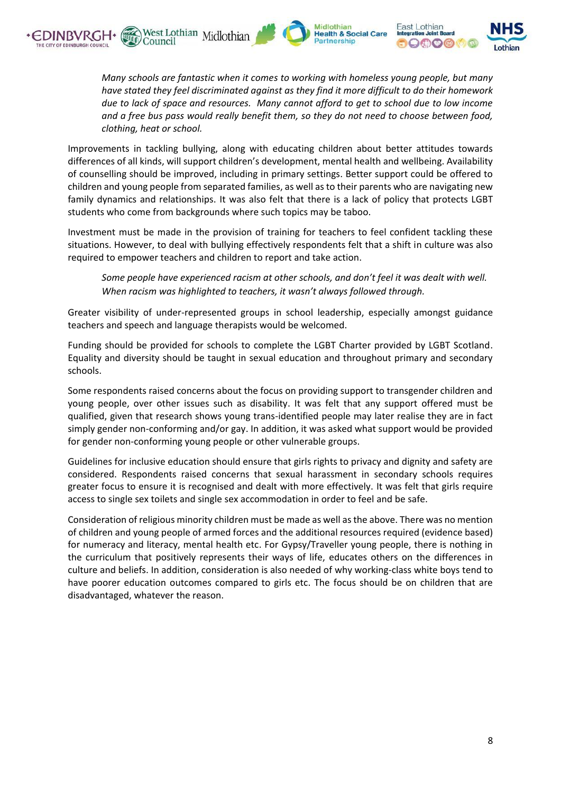





*Many schools are fantastic when it comes to working with homeless young people, but many have stated they feel discriminated against as they find it more difficult to do their homework due to lack of space and resources. Many cannot afford to get to school due to low income and a free bus pass would really benefit them, so they do not need to choose between food, clothing, heat or school.*

Improvements in tackling bullying, along with educating children about better attitudes towards differences of all kinds, will support children's development, mental health and wellbeing. Availability of counselling should be improved, including in primary settings. Better support could be offered to children and young people from separated families, as well as to their parents who are navigating new family dynamics and relationships. It was also felt that there is a lack of policy that protects LGBT students who come from backgrounds where such topics may be taboo.

Investment must be made in the provision of training for teachers to feel confident tackling these situations. However, to deal with bullying effectively respondents felt that a shift in culture was also required to empower teachers and children to report and take action.

*Some people have experienced racism at other schools, and don't feel it was dealt with well. When racism was highlighted to teachers, it wasn't always followed through.*

Greater visibility of under-represented groups in school leadership, especially amongst guidance teachers and speech and language therapists would be welcomed.

Funding should be provided for schools to complete the LGBT Charter provided by LGBT Scotland. Equality and diversity should be taught in sexual education and throughout primary and secondary schools.

Some respondents raised concerns about the focus on providing support to transgender children and young people, over other issues such as disability. It was felt that any support offered must be qualified, given that research shows young trans-identified people may later realise they are in fact simply gender non-conforming and/or gay. In addition, it was asked what support would be provided for gender non-conforming young people or other vulnerable groups.

Guidelines for inclusive education should ensure that girls rights to privacy and dignity and safety are considered. Respondents raised concerns that sexual harassment in secondary schools requires greater focus to ensure it is recognised and dealt with more effectively. It was felt that girls require access to single sex toilets and single sex accommodation in order to feel and be safe.

Consideration of religious minority children must be made as well as the above. There was no mention of children and young people of armed forces and the additional resources required (evidence based) for numeracy and literacy, mental health etc. For Gypsy/Traveller young people, there is nothing in the curriculum that positively represents their ways of life, educates others on the differences in culture and beliefs. In addition, consideration is also needed of why working-class white boys tend to have poorer education outcomes compared to girls etc. The focus should be on children that are disadvantaged, whatever the reason.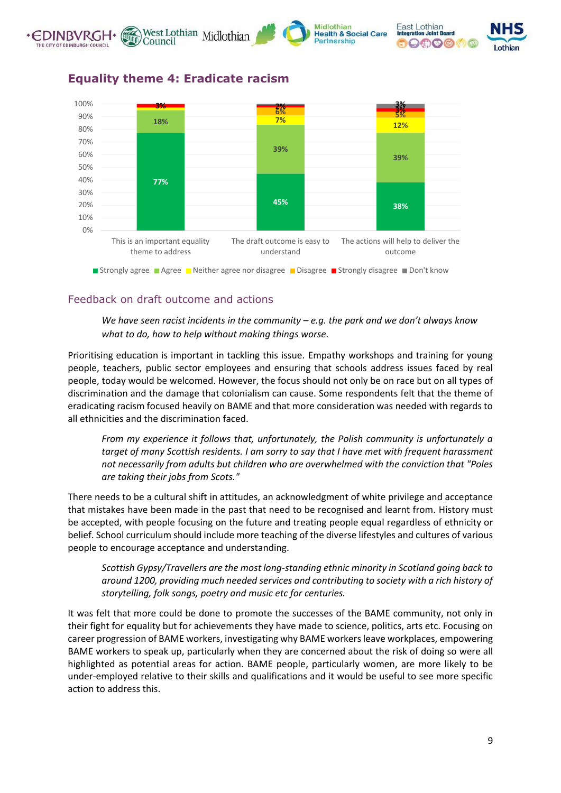







**Equality theme 4: Eradicate racism**



#### Feedback on draft outcome and actions

*We have seen racist incidents in the community – e.g. the park and we don't always know what to do, how to help without making things worse.*

Prioritising education is important in tackling this issue. Empathy workshops and training for young people, teachers, public sector employees and ensuring that schools address issues faced by real people, today would be welcomed. However, the focus should not only be on race but on all types of discrimination and the damage that colonialism can cause. Some respondents felt that the theme of eradicating racism focused heavily on BAME and that more consideration was needed with regards to all ethnicities and the discrimination faced.

*From my experience it follows that, unfortunately, the Polish community is unfortunately a target of many Scottish residents. I am sorry to say that I have met with frequent harassment not necessarily from adults but children who are overwhelmed with the conviction that "Poles are taking their jobs from Scots."*

There needs to be a cultural shift in attitudes, an acknowledgment of white privilege and acceptance that mistakes have been made in the past that need to be recognised and learnt from. History must be accepted, with people focusing on the future and treating people equal regardless of ethnicity or belief. School curriculum should include more teaching of the diverse lifestyles and cultures of various people to encourage acceptance and understanding.

*Scottish Gypsy/Travellers are the most long-standing ethnic minority in Scotland going back to around 1200, providing much needed services and contributing to society with a rich history of storytelling, folk songs, poetry and music etc for centuries.*

It was felt that more could be done to promote the successes of the BAME community, not only in their fight for equality but for achievements they have made to science, politics, arts etc. Focusing on career progression of BAME workers, investigating why BAME workers leave workplaces, empowering BAME workers to speak up, particularly when they are concerned about the risk of doing so were all highlighted as potential areas for action. BAME people, particularly women, are more likely to be under-employed relative to their skills and qualifications and it would be useful to see more specific action to address this.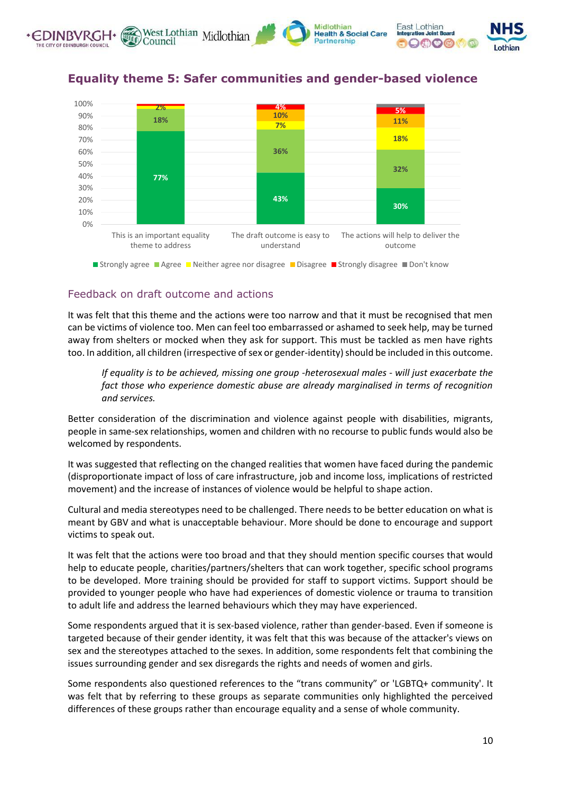



## **Equality theme 5: Safer communities and gender-based violence**

#### Feedback on draft outcome and actions

It was felt that this theme and the actions were too narrow and that it must be recognised that men can be victims of violence too. Men can feel too embarrassed or ashamed to seek help, may be turned away from shelters or mocked when they ask for support. This must be tackled as men have rights too. In addition, all children (irrespective of sex or gender-identity) should be included in this outcome.

*If equality is to be achieved, missing one group -heterosexual males - will just exacerbate the fact those who experience domestic abuse are already marginalised in terms of recognition and services.*

Better consideration of the discrimination and violence against people with disabilities, migrants, people in same-sex relationships, women and children with no recourse to public funds would also be welcomed by respondents.

It was suggested that reflecting on the changed realities that women have faced during the pandemic (disproportionate impact of loss of care infrastructure, job and income loss, implications of restricted movement) and the increase of instances of violence would be helpful to shape action.

Cultural and media stereotypes need to be challenged. There needs to be better education on what is meant by GBV and what is unacceptable behaviour. More should be done to encourage and support victims to speak out.

It was felt that the actions were too broad and that they should mention specific courses that would help to educate people, charities/partners/shelters that can work together, specific school programs to be developed. More training should be provided for staff to support victims. Support should be provided to younger people who have had experiences of domestic violence or trauma to transition to adult life and address the learned behaviours which they may have experienced.

Some respondents argued that it is sex-based violence, rather than gender-based. Even if someone is targeted because of their gender identity, it was felt that this was because of the attacker's views on sex and the stereotypes attached to the sexes. In addition, some respondents felt that combining the issues surrounding gender and sex disregards the rights and needs of women and girls.

Some respondents also questioned references to the "trans community" or 'LGBTQ+ community'. It was felt that by referring to these groups as separate communities only highlighted the perceived differences of these groups rather than encourage equality and a sense of whole community.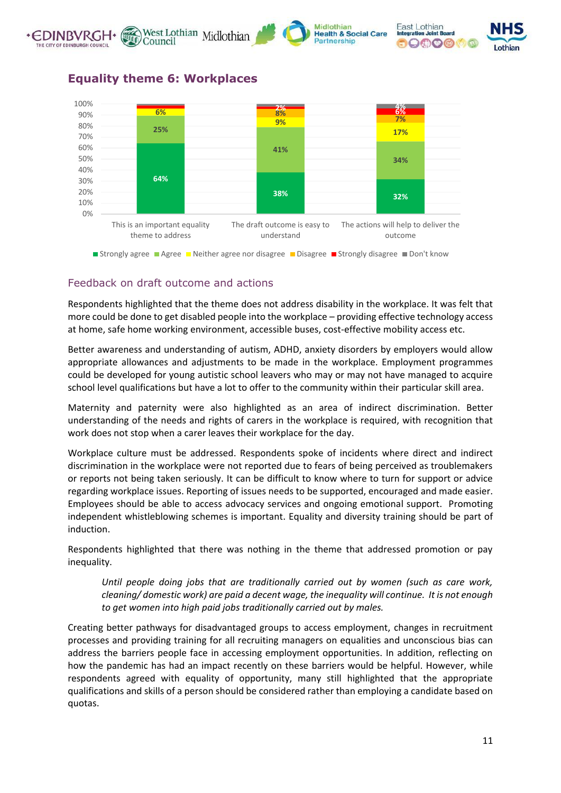





**25%** 70% 80%

#### **Equality theme 6: Workplaces**



**Strongly agree Agree Disagree and Agree Agree Conserver Strongly disagree Disagree Strongly disagree Disagree O** 

## Feedback on draft outcome and actions

Respondents highlighted that the theme does not address disability in the workplace. It was felt that more could be done to get disabled people into the workplace – providing effective technology access at home, safe home working environment, accessible buses, cost-effective mobility access etc.

Better awareness and understanding of autism, ADHD, anxiety disorders by employers would allow appropriate allowances and adjustments to be made in the workplace. Employment programmes could be developed for young autistic school leavers who may or may not have managed to acquire school level qualifications but have a lot to offer to the community within their particular skill area.

Maternity and paternity were also highlighted as an area of indirect discrimination. Better understanding of the needs and rights of carers in the workplace is required, with recognition that work does not stop when a carer leaves their workplace for the day.

Workplace culture must be addressed. Respondents spoke of incidents where direct and indirect discrimination in the workplace were not reported due to fears of being perceived as troublemakers or reports not being taken seriously. It can be difficult to know where to turn for support or advice regarding workplace issues. Reporting of issues needs to be supported, encouraged and made easier. Employees should be able to access advocacy services and ongoing emotional support. Promoting independent whistleblowing schemes is important. Equality and diversity training should be part of induction.

Respondents highlighted that there was nothing in the theme that addressed promotion or pay inequality.

*Until people doing jobs that are traditionally carried out by women (such as care work, cleaning/ domestic work) are paid a decent wage, the inequality will continue. It is not enough to get women into high paid jobs traditionally carried out by males.*

Creating better pathways for disadvantaged groups to access employment, changes in recruitment processes and providing training for all recruiting managers on equalities and unconscious bias can address the barriers people face in accessing employment opportunities. In addition, reflecting on how the pandemic has had an impact recently on these barriers would be helpful. However, while respondents agreed with equality of opportunity, many still highlighted that the appropriate qualifications and skills of a person should be considered rather than employing a candidate based on quotas.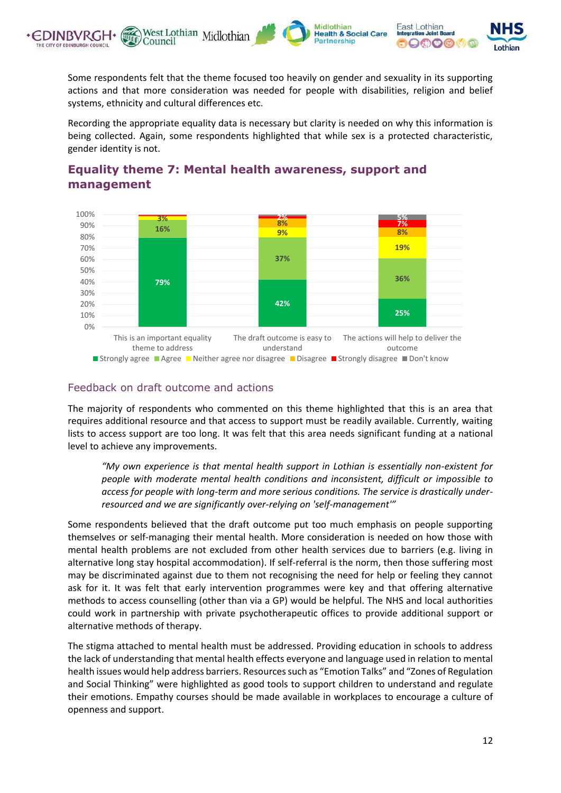

Some respondents felt that the theme focused too heavily on gender and sexuality in its supporting actions and that more consideration was needed for people with disabilities, religion and belief systems, ethnicity and cultural differences etc.

Recording the appropriate equality data is necessary but clarity is needed on why this information is being collected. Again, some respondents highlighted that while sex is a protected characteristic, gender identity is not.



# **Equality theme 7: Mental health awareness, support and management**

#### Feedback on draft outcome and actions

The majority of respondents who commented on this theme highlighted that this is an area that requires additional resource and that access to support must be readily available. Currently, waiting lists to access support are too long. It was felt that this area needs significant funding at a national level to achieve any improvements.

*"My own experience is that mental health support in Lothian is essentially non-existent for people with moderate mental health conditions and inconsistent, difficult or impossible to access for people with long-term and more serious conditions. The service is drastically underresourced and we are significantly over-relying on 'self-management'"*

Some respondents believed that the draft outcome put too much emphasis on people supporting themselves or self-managing their mental health. More consideration is needed on how those with mental health problems are not excluded from other health services due to barriers (e.g. living in alternative long stay hospital accommodation). If self-referral is the norm, then those suffering most may be discriminated against due to them not recognising the need for help or feeling they cannot ask for it. It was felt that early intervention programmes were key and that offering alternative methods to access counselling (other than via a GP) would be helpful. The NHS and local authorities could work in partnership with private psychotherapeutic offices to provide additional support or alternative methods of therapy.

The stigma attached to mental health must be addressed. Providing education in schools to address the lack of understanding that mental health effects everyone and language used in relation to mental health issues would help address barriers. Resources such as "Emotion Talks" and "Zones of Regulation and Social Thinking" were highlighted as good tools to support children to understand and regulate their emotions. Empathy courses should be made available in workplaces to encourage a culture of openness and support.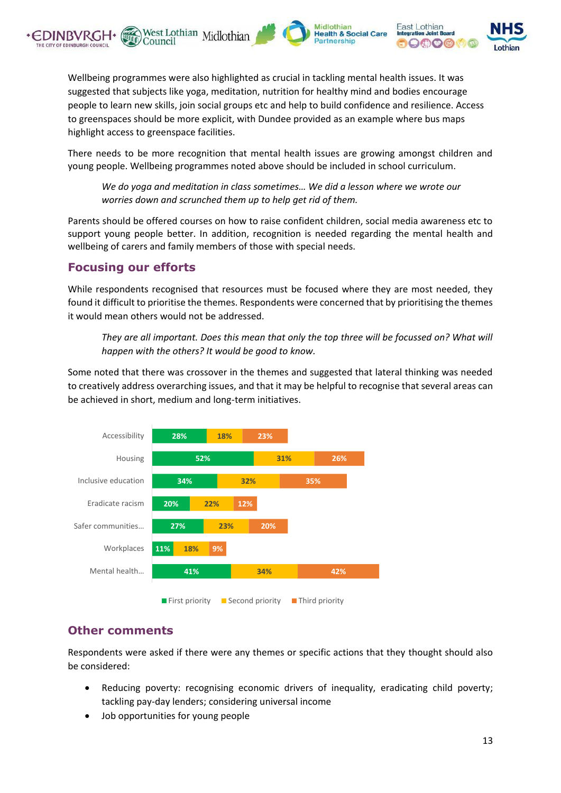





Wellbeing programmes were also highlighted as crucial in tackling mental health issues. It was suggested that subjects like yoga, meditation, nutrition for healthy mind and bodies encourage people to learn new skills, join social groups etc and help to build confidence and resilience. Access to greenspaces should be more explicit, with Dundee provided as an example where bus maps highlight access to greenspace facilities.

West Lothian Midlothian

Council

There needs to be more recognition that mental health issues are growing amongst children and young people. Wellbeing programmes noted above should be included in school curriculum.

*We do yoga and meditation in class sometimes… We did a lesson where we wrote our worries down and scrunched them up to help get rid of them.*

Parents should be offered courses on how to raise confident children, social media awareness etc to support young people better. In addition, recognition is needed regarding the mental health and wellbeing of carers and family members of those with special needs.

## **Focusing our efforts**

While respondents recognised that resources must be focused where they are most needed, they found it difficult to prioritise the themes. Respondents were concerned that by prioritising the themes it would mean others would not be addressed.

They are all important. Does this mean that only the top three will be focussed on? What will *happen with the others? It would be good to know.*

Some noted that there was crossover in the themes and suggested that lateral thinking was needed to creatively address overarching issues, and that it may be helpful to recognise that several areas can be achieved in short, medium and long-term initiatives.



## **Other comments**

Respondents were asked if there were any themes or specific actions that they thought should also be considered:

- Reducing poverty: recognising economic drivers of inequality, eradicating child poverty; tackling pay-day lenders; considering universal income
- Job opportunities for young people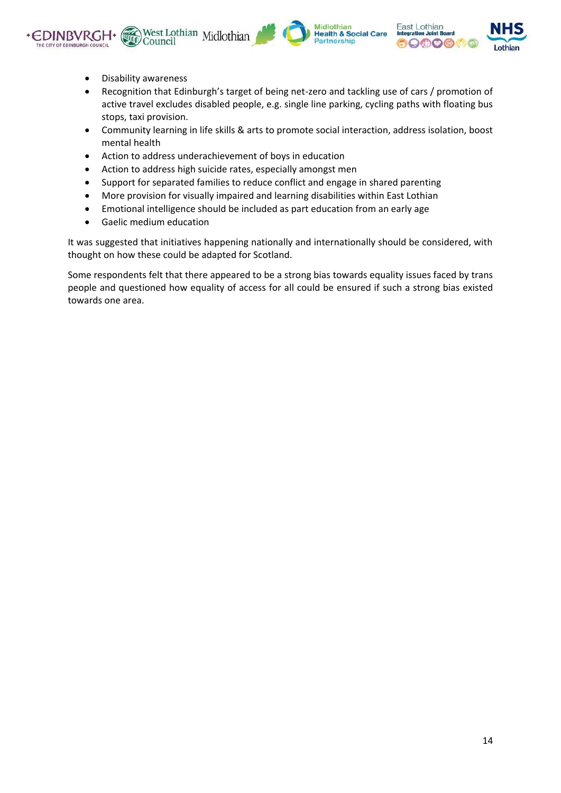





- Disability awareness
- Recognition that Edinburgh's target of being net-zero and tackling use of cars / promotion of active travel excludes disabled people, e.g. single line parking, cycling paths with floating bus stops, taxi provision.
- Community learning in life skills & arts to promote social interaction, address isolation, boost mental health
- Action to address underachievement of boys in education
- Action to address high suicide rates, especially amongst men
- Support for separated families to reduce conflict and engage in shared parenting
- More provision for visually impaired and learning disabilities within East Lothian
- Emotional intelligence should be included as part education from an early age
- Gaelic medium education

It was suggested that initiatives happening nationally and internationally should be considered, with thought on how these could be adapted for Scotland.

Some respondents felt that there appeared to be a strong bias towards equality issues faced by trans people and questioned how equality of access for all could be ensured if such a strong bias existed towards one area.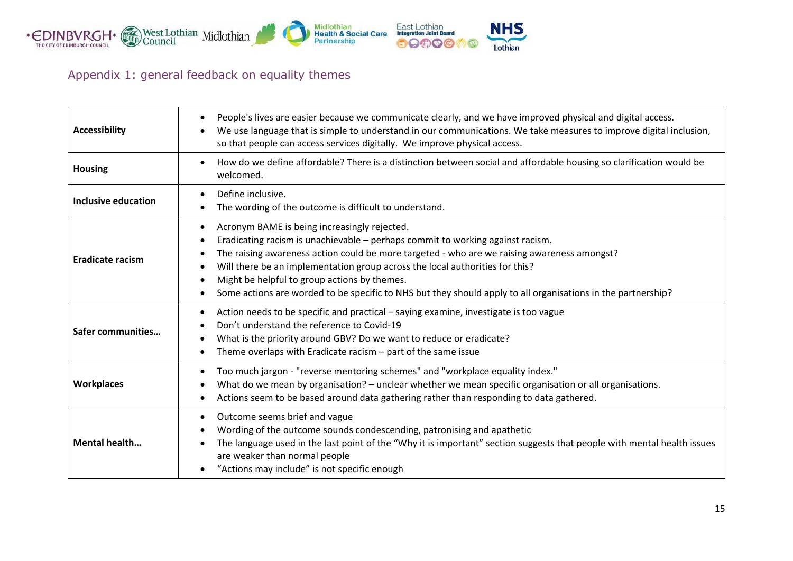

# Appendix 1: general feedback on equality themes

| <b>Accessibility</b>    | People's lives are easier because we communicate clearly, and we have improved physical and digital access.<br>$\bullet$<br>We use language that is simple to understand in our communications. We take measures to improve digital inclusion,<br>$\bullet$<br>so that people can access services digitally. We improve physical access.                                                                                                                                                                                            |
|-------------------------|-------------------------------------------------------------------------------------------------------------------------------------------------------------------------------------------------------------------------------------------------------------------------------------------------------------------------------------------------------------------------------------------------------------------------------------------------------------------------------------------------------------------------------------|
| <b>Housing</b>          | How do we define affordable? There is a distinction between social and affordable housing so clarification would be<br>$\bullet$<br>welcomed.                                                                                                                                                                                                                                                                                                                                                                                       |
| Inclusive education     | Define inclusive.<br>The wording of the outcome is difficult to understand.                                                                                                                                                                                                                                                                                                                                                                                                                                                         |
| <b>Eradicate racism</b> | Acronym BAME is being increasingly rejected.<br>٠<br>Eradicating racism is unachievable - perhaps commit to working against racism.<br>٠<br>The raising awareness action could be more targeted - who are we raising awareness amongst?<br>٠<br>Will there be an implementation group across the local authorities for this?<br>$\bullet$<br>Might be helpful to group actions by themes.<br>$\bullet$<br>Some actions are worded to be specific to NHS but they should apply to all organisations in the partnership?<br>$\bullet$ |
| Safer communities       | Action needs to be specific and practical - saying examine, investigate is too vague<br>٠<br>Don't understand the reference to Covid-19<br>What is the priority around GBV? Do we want to reduce or eradicate?<br>٠<br>Theme overlaps with Eradicate racism - part of the same issue<br>٠                                                                                                                                                                                                                                           |
| <b>Workplaces</b>       | Too much jargon - "reverse mentoring schemes" and "workplace equality index."<br>٠<br>What do we mean by organisation? - unclear whether we mean specific organisation or all organisations.<br>٠<br>Actions seem to be based around data gathering rather than responding to data gathered.<br>٠                                                                                                                                                                                                                                   |
| <b>Mental health</b>    | Outcome seems brief and vague<br>٠<br>Wording of the outcome sounds condescending, patronising and apathetic<br>$\bullet$<br>The language used in the last point of the "Why it is important" section suggests that people with mental health issues<br>are weaker than normal people<br>"Actions may include" is not specific enough                                                                                                                                                                                               |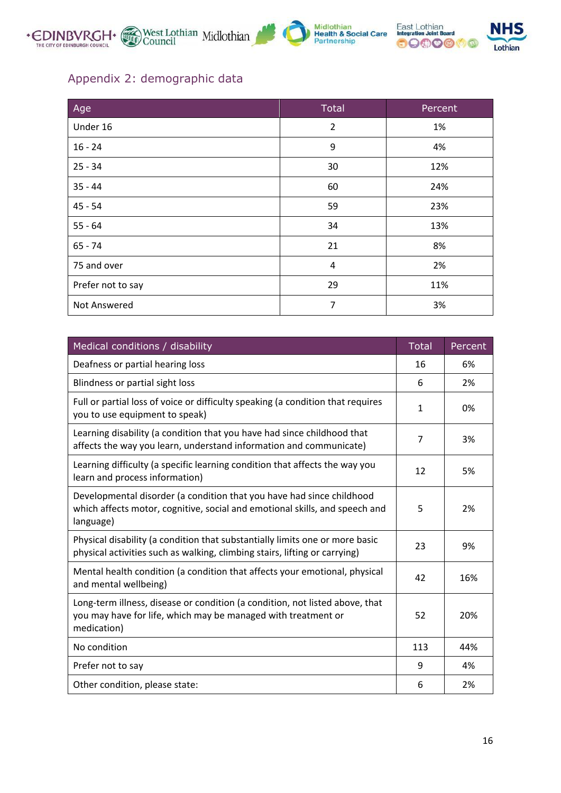



# Appendix 2: demographic data

| Age               | <b>Total</b>   | Percent |
|-------------------|----------------|---------|
| Under 16          | $\overline{2}$ | 1%      |
| $16 - 24$         | 9              | 4%      |
| $25 - 34$         | 30             | 12%     |
| $35 - 44$         | 60             | 24%     |
| $45 - 54$         | 59             | 23%     |
| $55 - 64$         | 34             | 13%     |
| $65 - 74$         | 21             | 8%      |
| 75 and over       | 4              | 2%      |
| Prefer not to say | 29             | 11%     |
| Not Answered      | $\overline{7}$ | 3%      |

| Medical conditions / disability                                                                                                                                   | <b>Total</b> | Percent |
|-------------------------------------------------------------------------------------------------------------------------------------------------------------------|--------------|---------|
| Deafness or partial hearing loss                                                                                                                                  | 16           | 6%      |
| Blindness or partial sight loss                                                                                                                                   | 6            | 2%      |
| Full or partial loss of voice or difficulty speaking (a condition that requires<br>you to use equipment to speak)                                                 | $\mathbf{1}$ | 0%      |
| Learning disability (a condition that you have had since childhood that<br>affects the way you learn, understand information and communicate)                     | 7            | 3%      |
| Learning difficulty (a specific learning condition that affects the way you<br>learn and process information)                                                     | 12           | 5%      |
| Developmental disorder (a condition that you have had since childhood<br>which affects motor, cognitive, social and emotional skills, and speech and<br>language) | 5            | 2%      |
| Physical disability (a condition that substantially limits one or more basic<br>physical activities such as walking, climbing stairs, lifting or carrying)        | 23           | 9%      |
| Mental health condition (a condition that affects your emotional, physical<br>and mental wellbeing)                                                               | 42           | 16%     |
| Long-term illness, disease or condition (a condition, not listed above, that<br>you may have for life, which may be managed with treatment or<br>medication)      | 52           | 20%     |
| No condition                                                                                                                                                      | 113          | 44%     |
| Prefer not to say                                                                                                                                                 | 9            | 4%      |
| Other condition, please state:                                                                                                                                    | 6            | 2%      |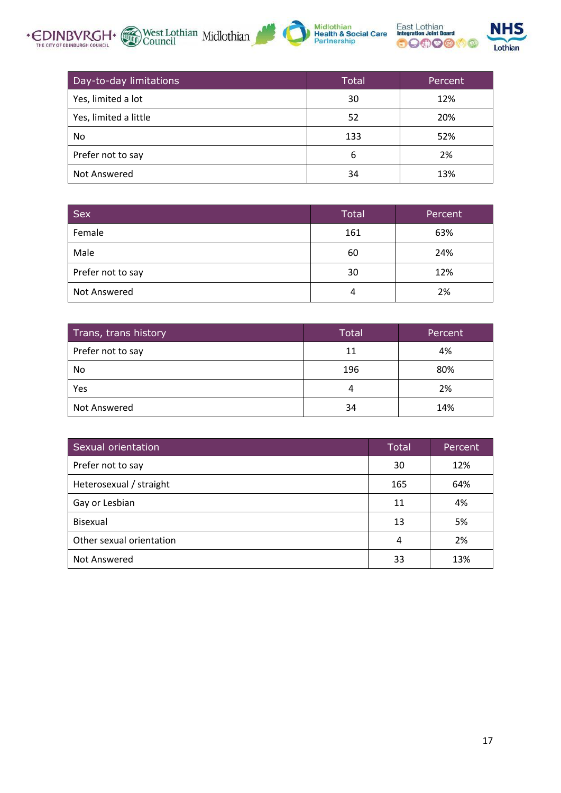





| Day-to-day limitations | <b>Total</b> | Percent |
|------------------------|--------------|---------|
| Yes, limited a lot     | 30           | 12%     |
| Yes, limited a little  | 52           | 20%     |
| No.                    | 133          | 52%     |
| Prefer not to say      | 6            | 2%      |
| Not Answered           | 34           | 13%     |

| <b>Sex</b>        | <b>Total</b> | Percent |
|-------------------|--------------|---------|
| Female            | 161          | 63%     |
| Male              | 60           | 24%     |
| Prefer not to say | 30           | 12%     |
| Not Answered      | 4            | 2%      |

| Trans, trans history | <b>Total</b> | Percent |
|----------------------|--------------|---------|
| Prefer not to say    | 11           | 4%      |
| No                   | 196          | 80%     |
| Yes                  | 4            | 2%      |
| Not Answered         | 34           | 14%     |

| Sexual orientation       | <b>Total</b> | Percent |
|--------------------------|--------------|---------|
| Prefer not to say        | 30           | 12%     |
| Heterosexual / straight  | 165          | 64%     |
| Gay or Lesbian           | 11           | 4%      |
| <b>Bisexual</b>          | 13           | 5%      |
| Other sexual orientation | 4            | 2%      |
| Not Answered             | 33           | 13%     |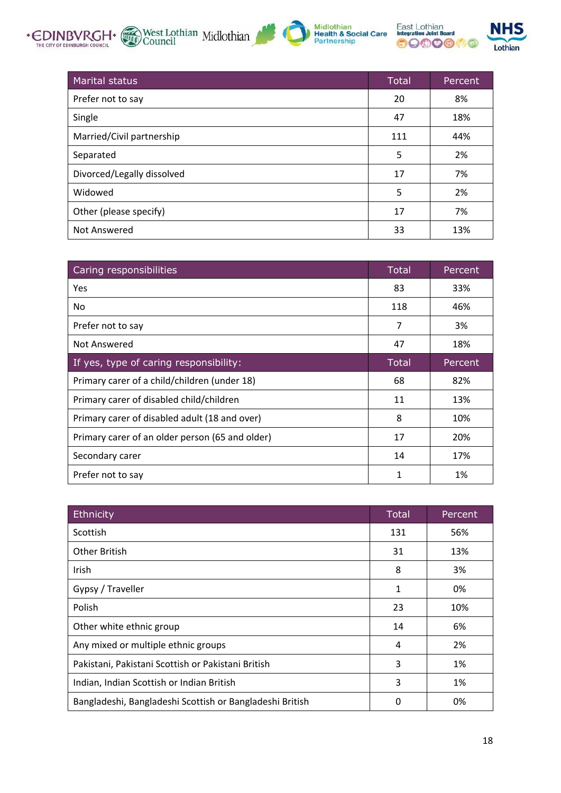





| <b>Marital status</b>      | <b>Total</b> | Percent |
|----------------------------|--------------|---------|
| Prefer not to say          | 20           | 8%      |
| Single                     | 47           | 18%     |
| Married/Civil partnership  | 111          | 44%     |
| Separated                  | 5            | 2%      |
| Divorced/Legally dissolved | 17           | 7%      |
| Widowed                    | 5            | 2%      |
| Other (please specify)     | 17           | 7%      |
| Not Answered               | 33           | 13%     |

| Caring responsibilities                         | Total        | Percent |
|-------------------------------------------------|--------------|---------|
| Yes                                             | 83           | 33%     |
| No.                                             | 118          | 46%     |
| Prefer not to say                               | 7            | 3%      |
| Not Answered                                    | 47           | 18%     |
| If yes, type of caring responsibility:          | <b>Total</b> | Percent |
| Primary carer of a child/children (under 18)    | 68           | 82%     |
| Primary carer of disabled child/children        | 11           | 13%     |
| Primary carer of disabled adult (18 and over)   | 8            | 10%     |
| Primary carer of an older person (65 and older) | 17           | 20%     |
| Secondary carer                                 | 14           | 17%     |
| Prefer not to say                               | 1            | 1%      |

| Ethnicity                                                | <b>Total</b> | Percent |
|----------------------------------------------------------|--------------|---------|
| Scottish                                                 | 131          | 56%     |
| <b>Other British</b>                                     | 31           | 13%     |
| Irish                                                    | 8            | 3%      |
| Gypsy / Traveller                                        | 1            | 0%      |
| Polish                                                   | 23           | 10%     |
| Other white ethnic group                                 | 14           | 6%      |
| Any mixed or multiple ethnic groups                      | 4            | 2%      |
| Pakistani, Pakistani Scottish or Pakistani British       | 3            | 1%      |
| Indian, Indian Scottish or Indian British                | 3            | 1%      |
| Bangladeshi, Bangladeshi Scottish or Bangladeshi British | 0            | 0%      |